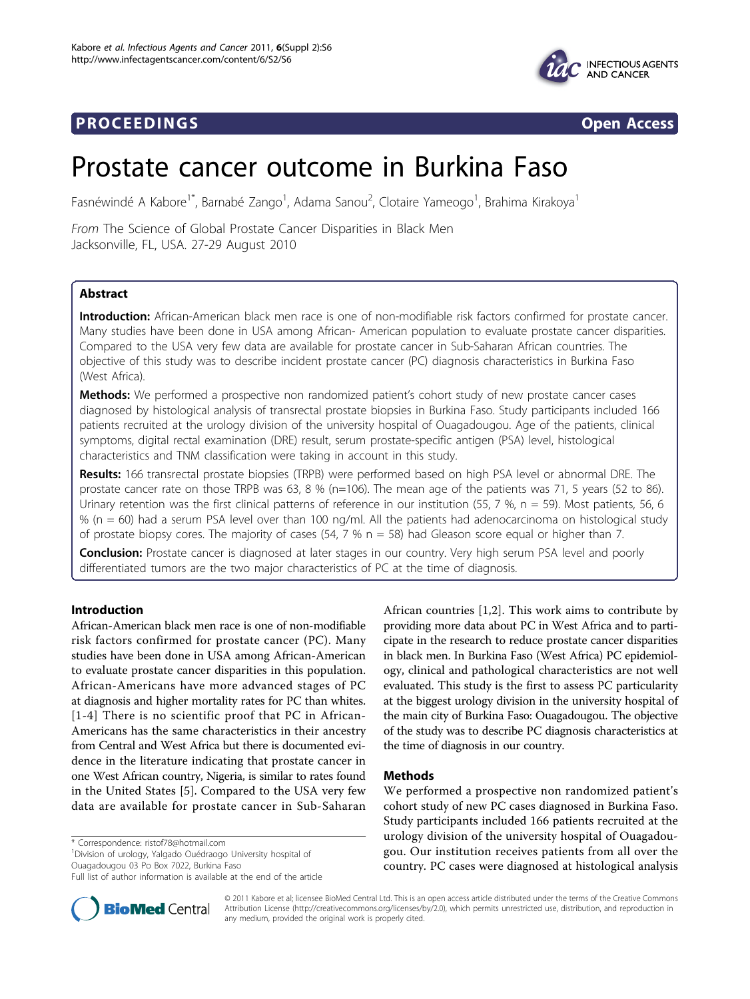

## **PROCEEDINGS CONSIDERING S** Open Access



# Prostate cancer outcome in Burkina Faso

Fasnéwindé A Kabore<sup>1\*</sup>, Barnabé Zango<sup>1</sup>, Adama Sanou<sup>2</sup>, Clotaire Yameogo<sup>1</sup>, Brahima Kirakoya<sup>1</sup>

From The Science of Global Prostate Cancer Disparities in Black Men Jacksonville, FL, USA. 27-29 August 2010

## Abstract

Introduction: African-American black men race is one of non-modifiable risk factors confirmed for prostate cancer. Many studies have been done in USA among African- American population to evaluate prostate cancer disparities. Compared to the USA very few data are available for prostate cancer in Sub-Saharan African countries. The objective of this study was to describe incident prostate cancer (PC) diagnosis characteristics in Burkina Faso (West Africa).

Methods: We performed a prospective non randomized patient's cohort study of new prostate cancer cases diagnosed by histological analysis of transrectal prostate biopsies in Burkina Faso. Study participants included 166 patients recruited at the urology division of the university hospital of Ouagadougou. Age of the patients, clinical symptoms, digital rectal examination (DRE) result, serum prostate-specific antigen (PSA) level, histological characteristics and TNM classification were taking in account in this study.

Results: 166 transrectal prostate biopsies (TRPB) were performed based on high PSA level or abnormal DRE. The prostate cancer rate on those TRPB was 63, 8 % (n=106). The mean age of the patients was 71, 5 years (52 to 86). Urinary retention was the first clinical patterns of reference in our institution (55, 7 %,  $n = 59$ ). Most patients, 56, 6 % (n = 60) had a serum PSA level over than 100 ng/ml. All the patients had adenocarcinoma on histological study of prostate biopsy cores. The majority of cases (54, 7 %  $n = 58$ ) had Gleason score equal or higher than 7.

**Conclusion:** Prostate cancer is diagnosed at later stages in our country. Very high serum PSA level and poorly differentiated tumors are the two major characteristics of PC at the time of diagnosis.

## Introduction

African-American black men race is one of non-modifiable risk factors confirmed for prostate cancer (PC). Many studies have been done in USA among African-American to evaluate prostate cancer disparities in this population. African-Americans have more advanced stages of PC at diagnosis and higher mortality rates for PC than whites. [[1](#page-3-0)-[4\]](#page-3-0) There is no scientific proof that PC in African-Americans has the same characteristics in their ancestry from Central and West Africa but there is documented evidence in the literature indicating that prostate cancer in one West African country, Nigeria, is similar to rates found in the United States [[5](#page-3-0)]. Compared to the USA very few data are available for prostate cancer in Sub-Saharan

\* Correspondence: [ristof78@hotmail.com](mailto:ristof78@hotmail.com)

<sup>1</sup> Division of urology, Yalgado Ouédraogo University hospital of Ouagadougou 03 Po Box 7022, Burkina Faso



## Methods

We performed a prospective non randomized patient's cohort study of new PC cases diagnosed in Burkina Faso. Study participants included 166 patients recruited at the urology division of the university hospital of Ouagadougou. Our institution receives patients from all over the country. PC cases were diagnosed at histological analysis



© 2011 Kabore et al; licensee BioMed Central Ltd. This is an open access article distributed under the terms of the Creative Commons Attribution License [\(http://creativecommons.org/licenses/by/2.0](http://creativecommons.org/licenses/by/2.0)), which permits unrestricted use, distribution, and reproduction in any medium, provided the original work is properly cited.

Full list of author information is available at the end of the article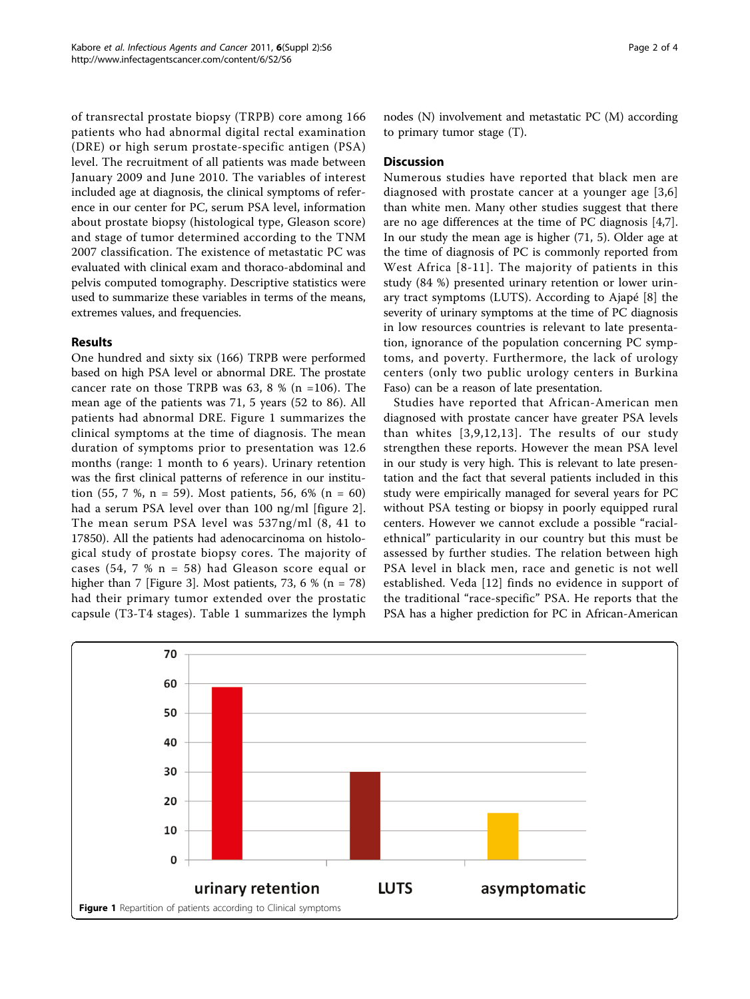of transrectal prostate biopsy (TRPB) core among 166 patients who had abnormal digital rectal examination (DRE) or high serum prostate-specific antigen (PSA) level. The recruitment of all patients was made between January 2009 and June 2010. The variables of interest included age at diagnosis, the clinical symptoms of reference in our center for PC, serum PSA level, information about prostate biopsy (histological type, Gleason score) and stage of tumor determined according to the TNM 2007 classification. The existence of metastatic PC was evaluated with clinical exam and thoraco-abdominal and pelvis computed tomography. Descriptive statistics were used to summarize these variables in terms of the means, extremes values, and frequencies.

## Results

One hundred and sixty six (166) TRPB were performed based on high PSA level or abnormal DRE. The prostate cancer rate on those TRPB was  $63$ ,  $8$  % (n =106). The mean age of the patients was 71, 5 years (52 to 86). All patients had abnormal DRE. Figure 1 summarizes the clinical symptoms at the time of diagnosis. The mean duration of symptoms prior to presentation was 12.6 months (range: 1 month to 6 years). Urinary retention was the first clinical patterns of reference in our institution (55, 7 %, n = 59). Most patients, 56, 6% (n = 60) had a serum PSA level over than 100 ng/ml [figure [2](#page-2-0)]. The mean serum PSA level was 537ng/ml (8, 41 to 17850). All the patients had adenocarcinoma on histological study of prostate biopsy cores. The majority of cases (54, 7 %  $n = 58$ ) had Gleason score equal or higher than 7 [Figure [3\]](#page-2-0). Most patients, 73, 6 % (n = 78) had their primary tumor extended over the prostatic capsule (T3-T4 stages). Table [1](#page-3-0) summarizes the lymph nodes (N) involvement and metastatic PC (M) according to primary tumor stage (T).

## Discussion

Numerous studies have reported that black men are diagnosed with prostate cancer at a younger age [[3,6](#page-3-0)] than white men. Many other studies suggest that there are no age differences at the time of PC diagnosis [\[4,7](#page-3-0)]. In our study the mean age is higher (71, 5). Older age at the time of diagnosis of PC is commonly reported from West Africa [[8](#page-3-0)-[11](#page-3-0)]. The majority of patients in this study (84 %) presented urinary retention or lower urinary tract symptoms (LUTS). According to Ajapé [[8\]](#page-3-0) the severity of urinary symptoms at the time of PC diagnosis in low resources countries is relevant to late presentation, ignorance of the population concerning PC symptoms, and poverty. Furthermore, the lack of urology centers (only two public urology centers in Burkina Faso) can be a reason of late presentation.

Studies have reported that African-American men diagnosed with prostate cancer have greater PSA levels than whites [[3,9,12](#page-3-0),[13\]](#page-3-0). The results of our study strengthen these reports. However the mean PSA level in our study is very high. This is relevant to late presentation and the fact that several patients included in this study were empirically managed for several years for PC without PSA testing or biopsy in poorly equipped rural centers. However we cannot exclude a possible "racialethnical" particularity in our country but this must be assessed by further studies. The relation between high PSA level in black men, race and genetic is not well established. Veda [[12](#page-3-0)] finds no evidence in support of the traditional "race-specific" PSA. He reports that the PSA has a higher prediction for PC in African-American

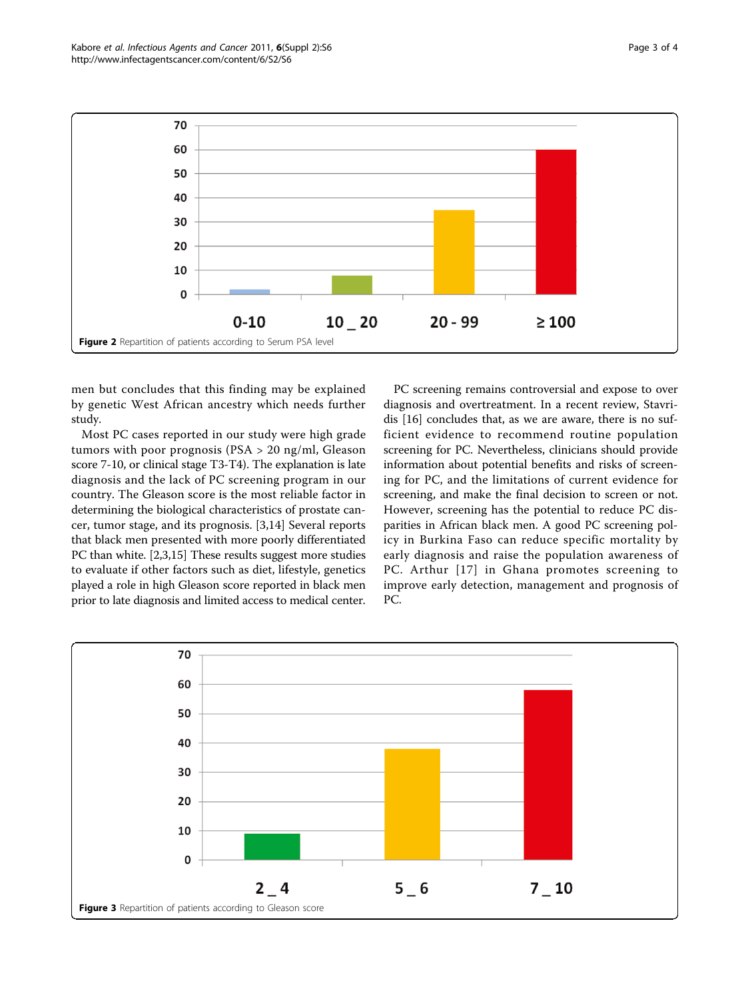men but concludes that this finding may be explained by genetic West African ancestry which needs further study.

Most PC cases reported in our study were high grade tumors with poor prognosis (PSA > 20 ng/ml, Gleason score 7-10, or clinical stage T3-T4). The explanation is late diagnosis and the lack of PC screening program in our country. The Gleason score is the most reliable factor in determining the biological characteristics of prostate cancer, tumor stage, and its prognosis. [\[3,14](#page-3-0)] Several reports that black men presented with more poorly differentiated PC than white. [[2,3,15](#page-3-0)] These results suggest more studies to evaluate if other factors such as diet, lifestyle, genetics played a role in high Gleason score reported in black men prior to late diagnosis and limited access to medical center.

PC screening remains controversial and expose to over diagnosis and overtreatment. In a recent review, Stavridis [[16\]](#page-3-0) concludes that, as we are aware, there is no sufficient evidence to recommend routine population screening for PC. Nevertheless, clinicians should provide information about potential benefits and risks of screening for PC, and the limitations of current evidence for screening, and make the final decision to screen or not. However, screening has the potential to reduce PC disparities in African black men. A good PC screening policy in Burkina Faso can reduce specific mortality by early diagnosis and raise the population awareness of PC. Arthur [[17](#page-3-0)] in Ghana promotes screening to improve early detection, management and prognosis of PC.

<span id="page-2-0"></span>